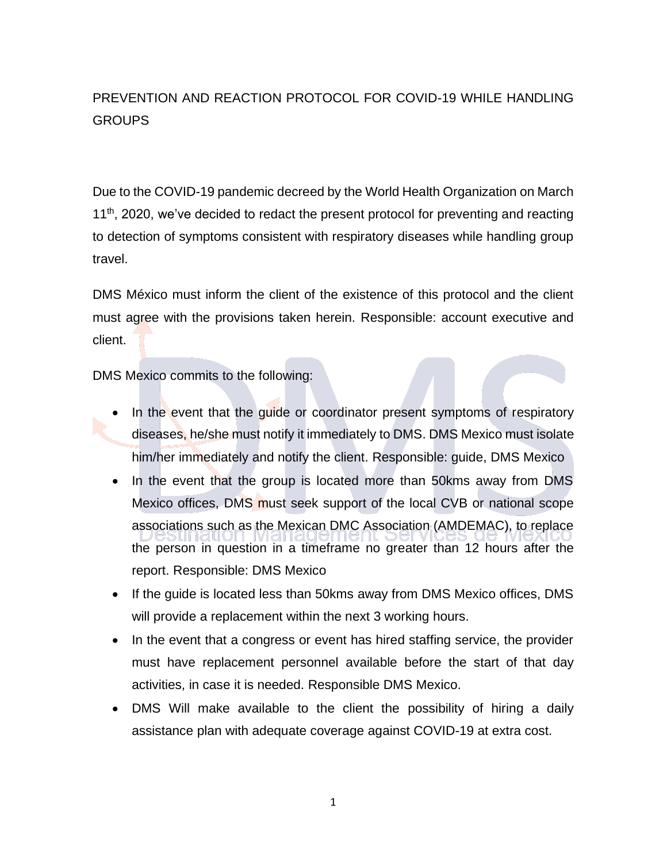## PREVENTION AND REACTION PROTOCOL FOR COVID-19 WHILE HANDLING **GROUPS**

Due to the COVID-19 pandemic decreed by the World Health Organization on March 11<sup>th</sup>, 2020, we've decided to redact the present protocol for preventing and reacting to detection of symptoms consistent with respiratory diseases while handling group travel.

DMS México must inform the client of the existence of this protocol and the client must agree with the provisions taken herein. Responsible: account executive and client.

DMS Mexico commits to the following:

- In the event that the guide or coordinator present symptoms of respiratory diseases, he/she must notify it immediately to DMS. DMS Mexico must isolate him/her immediately and notify the client. Responsible: guide, DMS Mexico
- In the event that the group is located more than 50kms away from DMS Mexico offices, DMS must seek support of the local CVB or national scope associations such as the Mexican DMC Association (AMDEMAC), to replace the person in question in a timeframe no greater than 12 hours after the report. Responsible: DMS Mexico
- If the guide is located less than 50kms away from DMS Mexico offices, DMS will provide a replacement within the next 3 working hours.
- In the event that a congress or event has hired staffing service, the provider must have replacement personnel available before the start of that day activities, in case it is needed. Responsible DMS Mexico.
- DMS Will make available to the client the possibility of hiring a daily assistance plan with adequate coverage against COVID-19 at extra cost.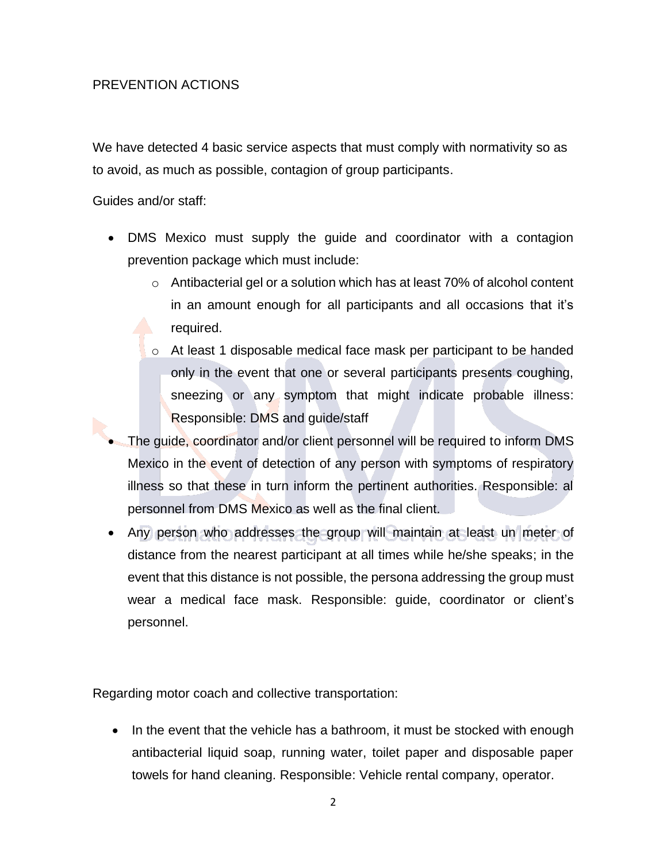## PREVENTION ACTIONS

We have detected 4 basic service aspects that must comply with normativity so as to avoid, as much as possible, contagion of group participants.

Guides and/or staff:

- DMS Mexico must supply the guide and coordinator with a contagion prevention package which must include:
	- o Antibacterial gel or a solution which has at least 70% of alcohol content in an amount enough for all participants and all occasions that it's required.
	- o At least 1 disposable medical face mask per participant to be handed only in the event that one or several participants presents coughing, sneezing or any symptom that might indicate probable illness: Responsible: DMS and guide/staff
- The guide, coordinator and/or client personnel will be required to inform DMS Mexico in the event of detection of any person with symptoms of respiratory illness so that these in turn inform the pertinent authorities. Responsible: al personnel from DMS Mexico as well as the final client.
- Any person who addresses the group will maintain at least un meter of distance from the nearest participant at all times while he/she speaks; in the event that this distance is not possible, the persona addressing the group must wear a medical face mask. Responsible: guide, coordinator or client's personnel.

Regarding motor coach and collective transportation:

• In the event that the vehicle has a bathroom, it must be stocked with enough antibacterial liquid soap, running water, toilet paper and disposable paper towels for hand cleaning. Responsible: Vehicle rental company, operator.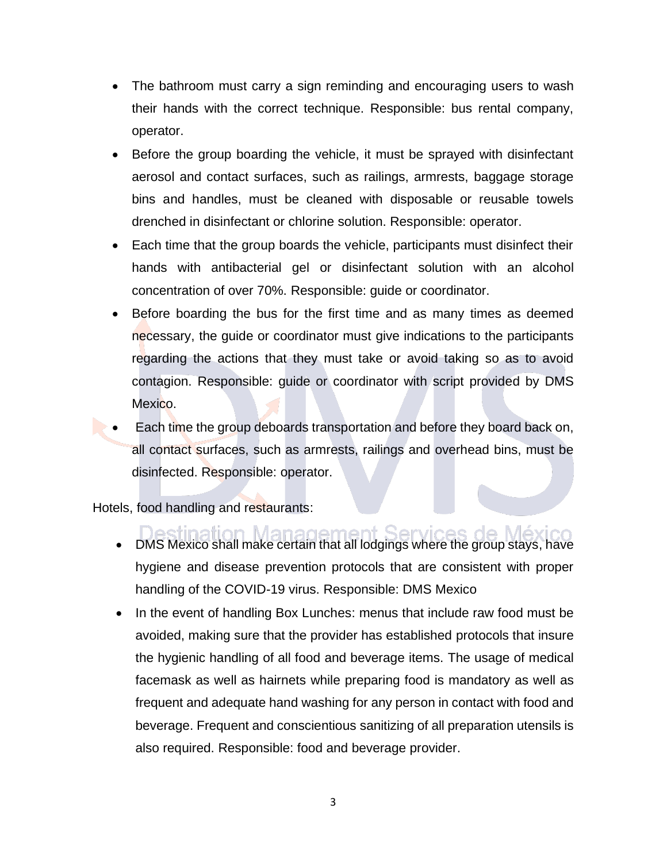- The bathroom must carry a sign reminding and encouraging users to wash their hands with the correct technique. Responsible: bus rental company, operator.
- Before the group boarding the vehicle, it must be sprayed with disinfectant aerosol and contact surfaces, such as railings, armrests, baggage storage bins and handles, must be cleaned with disposable or reusable towels drenched in disinfectant or chlorine solution. Responsible: operator.
- Each time that the group boards the vehicle, participants must disinfect their hands with antibacterial gel or disinfectant solution with an alcohol concentration of over 70%. Responsible: guide or coordinator.
- Before boarding the bus for the first time and as many times as deemed necessary, the guide or coordinator must give indications to the participants regarding the actions that they must take or avoid taking so as to avoid contagion. Responsible: guide or coordinator with script provided by DMS Mexico.
- Each time the group deboards transportation and before they board back on, all contact surfaces, such as armrests, railings and overhead bins, must be disinfected. Responsible: operator.

Hotels, food handling and restaurants:

- Services ation Managemer • DMS Mexico shall make certain that all lodgings where the group stays, have hygiene and disease prevention protocols that are consistent with proper handling of the COVID-19 virus. Responsible: DMS Mexico
- In the event of handling Box Lunches: menus that include raw food must be avoided, making sure that the provider has established protocols that insure the hygienic handling of all food and beverage items. The usage of medical facemask as well as hairnets while preparing food is mandatory as well as frequent and adequate hand washing for any person in contact with food and beverage. Frequent and conscientious sanitizing of all preparation utensils is also required. Responsible: food and beverage provider.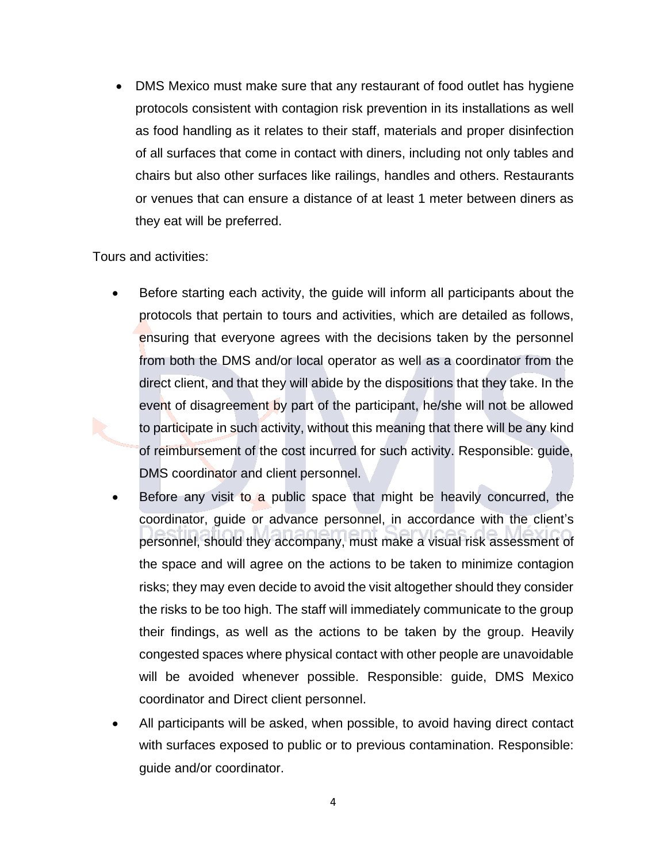• DMS Mexico must make sure that any restaurant of food outlet has hygiene protocols consistent with contagion risk prevention in its installations as well as food handling as it relates to their staff, materials and proper disinfection of all surfaces that come in contact with diners, including not only tables and chairs but also other surfaces like railings, handles and others. Restaurants or venues that can ensure a distance of at least 1 meter between diners as they eat will be preferred.

Tours and activities:

- Before starting each activity, the guide will inform all participants about the protocols that pertain to tours and activities, which are detailed as follows, ensuring that everyone agrees with the decisions taken by the personnel from both the DMS and/or local operator as well as a coordinator from the direct client, and that they will abide by the dispositions that they take. In the event of disagreement by part of the participant, he/she will not be allowed to participate in such activity, without this meaning that there will be any kind of reimbursement of the cost incurred for such activity. Responsible: guide, DMS coordinator and client personnel.
- Before any visit to a public space that might be heavily concurred, the coordinator, guide or advance personnel, in accordance with the client's personnel, should they accompany, must make a visual risk assessment of the space and will agree on the actions to be taken to minimize contagion risks; they may even decide to avoid the visit altogether should they consider the risks to be too high. The staff will immediately communicate to the group their findings, as well as the actions to be taken by the group. Heavily congested spaces where physical contact with other people are unavoidable will be avoided whenever possible. Responsible: guide, DMS Mexico coordinator and Direct client personnel.
- All participants will be asked, when possible, to avoid having direct contact with surfaces exposed to public or to previous contamination. Responsible: guide and/or coordinator.